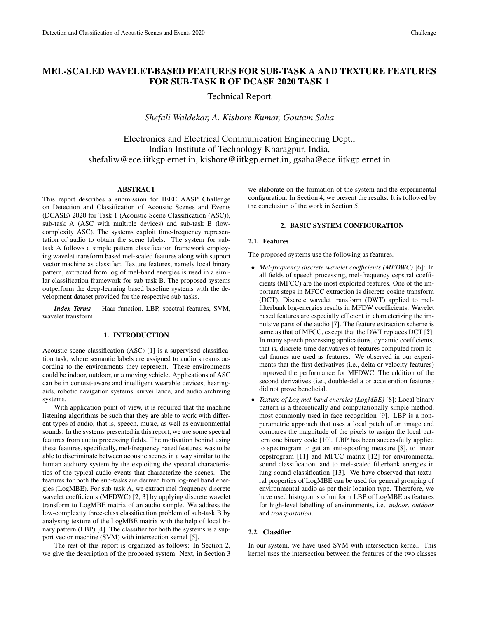# MEL-SCALED WAVELET-BASED FEATURES FOR SUB-TASK A AND TEXTURE FEATURES FOR SUB-TASK B OF DCASE 2020 TASK 1

Technical Report

*Shefali Waldekar, A. Kishore Kumar, Goutam Saha*

Electronics and Electrical Communication Engineering Dept., Indian Institute of Technology Kharagpur, India, shefaliw@ece.iitkgp.ernet.in, kishore@iitkgp.ernet.in, gsaha@ece.iitkgp.ernet.in

## ABSTRACT

This report describes a submission for IEEE AASP Challenge on Detection and Classification of Acoustic Scenes and Events (DCASE) 2020 for Task 1 (Acoustic Scene Classification (ASC)), sub-task A (ASC with multiple devices) and sub-task B (lowcomplexity ASC). The systems exploit time-frequency representation of audio to obtain the scene labels. The system for subtask A follows a simple pattern classification framework employing wavelet transform based mel-scaled features along with support vector machine as classifier. Texture features, namely local binary pattern, extracted from log of mel-band energies is used in a similar classification framework for sub-task B. The proposed systems outperform the deep-learning based baseline systems with the development dataset provided for the respective sub-tasks.

*Index Terms*— Haar function, LBP, spectral features, SVM, wavelet transform.

## 1. INTRODUCTION

Acoustic scene classification (ASC) [1] is a supervised classification task, where semantic labels are assigned to audio streams according to the environments they represent. These environments could be indoor, outdoor, or a moving vehicle. Applications of ASC can be in context-aware and intelligent wearable devices, hearingaids, robotic navigation systems, surveillance, and audio archiving systems.

With application point of view, it is required that the machine listening algorithms be such that they are able to work with different types of audio, that is, speech, music, as well as environmental sounds. In the systems presented in this report, we use some spectral features from audio processing fields. The motivation behind using these features, specifically, mel-frequency based features, was to be able to discriminate between acoustic scenes in a way similar to the human auditory system by the exploiting the spectral characteristics of the typical audio events that characterize the scenes. The features for both the sub-tasks are derived from log-mel band energies (LogMBE). For sub-task A, we extract mel-frequency discrete wavelet coefficients (MFDWC) [2, 3] by applying discrete wavelet transform to LogMBE matrix of an audio sample. We address the low-complexity three-class classification problem of sub-task B by analysing texture of the LogMBE matrix with the help of local binary pattern (LBP) [4]. The classifier for both the systems is a support vector machine (SVM) with intersection kernel [5].

The rest of this report is organized as follows: In Section 2, we give the description of the proposed system. Next, in Section 3 we elaborate on the formation of the system and the experimental configuration. In Section 4, we present the results. It is followed by the conclusion of the work in Section 5.

## 2. BASIC SYSTEM CONFIGURATION

#### 2.1. Features

The proposed systems use the following as features.

- *Mel-frequency discrete wavelet coefficients (MFDWC)* [6]: In all fields of speech processing, mel-frequency cepstral coefficients (MFCC) are the most exploited features. One of the important steps in MFCC extraction is discrete cosine transform (DCT). Discrete wavelet transform (DWT) applied to melfilterbank log-energies results in MFDW coefficients. Wavelet based features are especially efficient in characterizing the impulsive parts of the audio [7]. The feature extraction scheme is same as that of MFCC, except that the DWT replaces DCT [?]. In many speech processing applications, dynamic coefficients, that is, discrete-time derivatives of features computed from local frames are used as features. We observed in our experiments that the first derivatives (i.e., delta or velocity features) improved the performance for MFDWC. The addition of the second derivatives (i.e., double-delta or acceleration features) did not prove beneficial.
- *Texture of Log mel-band energies (LogMBE)* [8]: Local binary pattern is a theoretically and computationally simple method, most commonly used in face recognition [9]. LBP is a nonparametric approach that uses a local patch of an image and compares the magnitude of the pixels to assign the local pattern one binary code [10]. LBP has been successfully applied to spectrogram to get an anti-spoofing measure [8], to linear cepstrogram [11] and MFCC matrix [12] for environmental sound classification, and to mel-scaled filterbank energies in lung sound classification [13]. We have observed that textural properties of LogMBE can be used for general grouping of environmental audio as per their location type. Therefore, we have used histograms of uniform LBP of LogMBE as features for high-level labelling of environments, i.e. *indoor*, *outdoor* and *transportation*.

## 2.2. Classifier

In our system, we have used SVM with intersection kernel. This kernel uses the intersection between the features of the two classes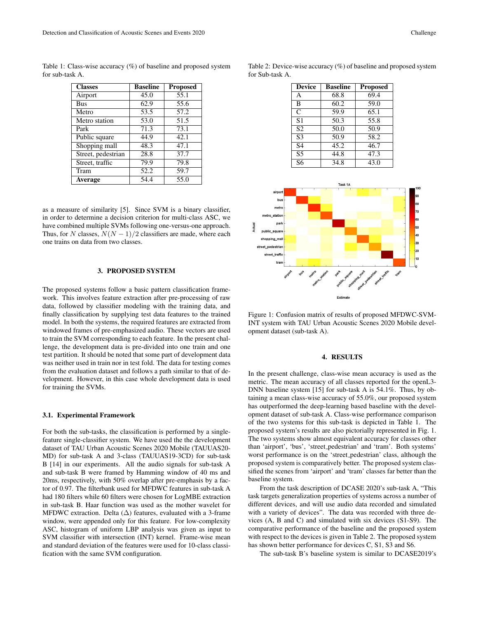Table 1: Class-wise accuracy  $(\%)$  of baseline and proposed system for sub-task A.

| <b>Classes</b>     | <b>Baseline</b> | <b>Proposed</b> |
|--------------------|-----------------|-----------------|
| Airport            | 45.0            | 55.1            |
| <b>Bus</b>         | 62.9            | 55.6            |
| Metro              | 53.5            | 57.2            |
| Metro station      | 53.0            | 51.5            |
| Park               | 71.3            | 73.1            |
| Public square      | 44.9            | 42.1            |
| Shopping mall      | 48.3            | 47.1            |
| Street, pedestrian | 28.8            | 37.7            |
| Street, traffic    | 79.9            | 79.8            |
| Tram               | 52.2            | 59.7            |
| <b>Average</b>     | 54.4            | 55.0            |

as a measure of similarity [5]. Since SVM is a binary classifier, in order to determine a decision criterion for multi-class ASC, we have combined multiple SVMs following one-versus-one approach. Thus, for N classes,  $N(N-1)/2$  classifiers are made, where each one trains on data from two classes.

## 3. PROPOSED SYSTEM

The proposed systems follow a basic pattern classification framework. This involves feature extraction after pre-processing of raw data, followed by classifier modeling with the training data, and finally classification by supplying test data features to the trained model. In both the systems, the required features are extracted from windowed frames of pre-emphasized audio. These vectors are used to train the SVM corresponding to each feature. In the present challenge, the development data is pre-divided into one train and one test partition. It should be noted that some part of development data was neither used in train nor in test fold. The data for testing comes from the evaluation dataset and follows a path similar to that of development. However, in this case whole development data is used for training the SVMs.

#### 3.1. Experimental Framework

For both the sub-tasks, the classification is performed by a singlefeature single-classifier system. We have used the the development dataset of TAU Urban Acoustic Scenes 2020 Mobile (TAUUAS20- MD) for sub-task A and 3-class (TAUUAS19-3CD) for sub-task B [14] in our experiments. All the audio signals for sub-task A and sub-task B were framed by Hamming window of 40 ms and 20ms, respectively, with 50% overlap after pre-emphasis by a factor of 0.97. The filterbank used for MFDWC features in sub-task A had 180 filters while 60 filters were chosen for LogMBE extraction in sub-task B. Haar function was used as the mother wavelet for MFDWC extraction. Delta ( $\Delta$ ) features, evaluated with a 3-frame window, were appended only for this feature. For low-complexity ASC, histogram of uniform LBP analysis was given as input to SVM classifier with intersection (INT) kernel. Frame-wise mean and standard deviation of the features were used for 10-class classification with the same SVM configuration.

| <b>Device</b>  | <b>Baseline</b> | <b>Proposed</b>   |
|----------------|-----------------|-------------------|
| A              | 68.8            | 69.4              |
| B              | 60.2            | 59.0              |
| C              | 59.9            | 65.1              |
| S1             | 50.3            | 55.8              |
| S <sub>2</sub> | 50.0            | 50.9              |
| S <sub>3</sub> | 50.9            | $58.\overline{2}$ |
| S <sub>4</sub> | 45.2            | 46.7              |
| S <sub>5</sub> | 44.8            | 47.3              |
| S6             | 34.8            | 43.0              |

Table 2: Device-wise accuracy (%) of baseline and proposed system for Sub-task A.



Figure 1: Confusion matrix of results of proposed MFDWC-SVM-INT system with TAU Urban Acoustic Scenes 2020 Mobile development dataset (sub-task A).

## 4. RESULTS

In the present challenge, class-wise mean accuracy is used as the metric. The mean accuracy of all classes reported for the openL3- DNN baseline system [15] for sub-task A is 54.1%. Thus, by obtaining a mean class-wise accuracy of 55.0%, our proposed system has outperformed the deep-learning based baseline with the development dataset of sub-task A. Class-wise performance comparison of the two systems for this sub-task is depicted in Table 1. The proposed system's results are also pictorially represented in Fig. 1. The two systems show almost equivalent accuracy for classes other than 'airport', 'bus', 'street pedestrian' and 'tram'. Both systems' worst performance is on the 'street pedestrian' class, although the proposed system is comparatively better. The proposed system classified the scenes from 'airport' and 'tram' classes far better than the baseline system.

From the task description of DCASE 2020's sub-task A, "This task targets generalization properties of systems across a number of different devices, and will use audio data recorded and simulated with a variety of devices". The data was recorded with three devices (A, B and C) and simulated with six devices (S1-S9). The comparative performance of the baseline and the proposed system with respect to the devices is given in Table 2. The proposed system has shown better performance for devices C, S1, S3 and S6.

The sub-task B's baseline system is similar to DCASE2019's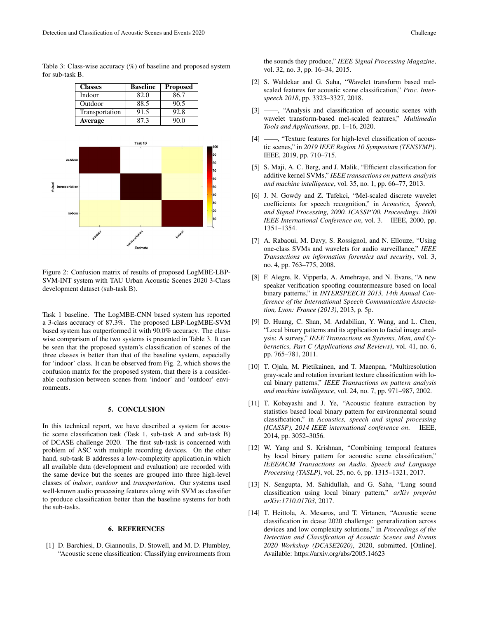Table 3: Class-wise accuracy  $(\%)$  of baseline and proposed system for sub-task B.



Figure 2: Confusion matrix of results of proposed LogMBE-LBP-SVM-INT system with TAU Urban Acoustic Scenes 2020 3-Class development dataset (sub-task B).

Estimat

Task 1 baseline. The LogMBE-CNN based system has reported a 3-class accuracy of 87.3%. The proposed LBP-LogMBE-SVM based system has outperformed it with 90.0% accuracy. The classwise comparison of the two systems is presented in Table 3. It can be seen that the proposed system's classification of scenes of the three classes is better than that of the baseline system, especially for 'indoor' class. It can be observed from Fig. 2, which shows the confusion matrix for the proposed system, that there is a considerable confusion between scenes from 'indoor' and 'outdoor' environments.

#### 5. CONCLUSION

In this technical report, we have described a system for acoustic scene classification task (Task 1, sub-task A and sub-task B) of DCASE challenge 2020. The first sub-task is concerned with problem of ASC with multiple recording devices. On the other hand, sub-task B addresses a low-complexity application,in which all available data (development and evaluation) are recorded with the same device but the scenes are grouped into three high-level classes of *indoor*, *outdoor* and *transportation*. Our systems used well-known audio processing features along with SVM as classifier to produce classification better than the baseline systems for both the sub-tasks.

## 6. REFERENCES

[1] D. Barchiesi, D. Giannoulis, D. Stowell, and M. D. Plumbley, "Acoustic scene classification: Classifying environments from the sounds they produce," *IEEE Signal Processing Magazine*, vol. 32, no. 3, pp. 16–34, 2015.

- [2] S. Waldekar and G. Saha, "Wavelet transform based melscaled features for acoustic scene classification," *Proc. Interspeech 2018*, pp. 3323–3327, 2018.
- [3] ——, "Analysis and classification of acoustic scenes with wavelet transform-based mel-scaled features," *Multimedia Tools and Applications*, pp. 1–16, 2020.
- [4] ——, "Texture features for high-level classification of acoustic scenes," in *2019 IEEE Region 10 Symposium (TENSYMP)*. IEEE, 2019, pp. 710–715.
- [5] S. Maji, A. C. Berg, and J. Malik, "Efficient classification for additive kernel SVMs," *IEEE transactions on pattern analysis and machine intelligence*, vol. 35, no. 1, pp. 66–77, 2013.
- [6] J. N. Gowdy and Z. Tufekci, "Mel-scaled discrete wavelet coefficients for speech recognition," in *Acoustics, Speech, and Signal Processing, 2000. ICASSP'00. Proceedings. 2000 IEEE International Conference on*, vol. 3. IEEE, 2000, pp. 1351–1354.
- [7] A. Rabaoui, M. Davy, S. Rossignol, and N. Ellouze, "Using one-class SVMs and wavelets for audio surveillance," *IEEE Transactions on information forensics and security*, vol. 3, no. 4, pp. 763–775, 2008.
- [8] F. Alegre, R. Vipperla, A. Amehraye, and N. Evans, "A new speaker verification spoofing countermeasure based on local binary patterns," in *INTERSPEECH 2013, 14th Annual Conference of the International Speech Communication Association, Lyon: France (2013)*, 2013, p. 5p.
- [9] D. Huang, C. Shan, M. Ardabilian, Y. Wang, and L. Chen, "Local binary patterns and its application to facial image analysis: A survey," *IEEE Transactions on Systems, Man, and Cybernetics, Part C (Applications and Reviews)*, vol. 41, no. 6, pp. 765–781, 2011.
- [10] T. Ojala, M. Pietikainen, and T. Maenpaa, "Multiresolution gray-scale and rotation invariant texture classification with local binary patterns," *IEEE Transactions on pattern analysis and machine intelligence*, vol. 24, no. 7, pp. 971–987, 2002.
- [11] T. Kobayashi and J. Ye, "Acoustic feature extraction by statistics based local binary pattern for environmental sound classification," in *Acoustics, speech and signal processing (ICASSP), 2014 IEEE international conference on*. IEEE, 2014, pp. 3052–3056.
- [12] W. Yang and S. Krishnan, "Combining temporal features by local binary pattern for acoustic scene classification," *IEEE/ACM Transactions on Audio, Speech and Language Processing (TASLP)*, vol. 25, no. 6, pp. 1315–1321, 2017.
- [13] N. Sengupta, M. Sahidullah, and G. Saha, "Lung sound classification using local binary pattern," *arXiv preprint arXiv:1710.01703*, 2017.
- [14] T. Heittola, A. Mesaros, and T. Virtanen, "Acoustic scene classification in dcase 2020 challenge: generalization across devices and low complexity solutions," in *Proceedings of the Detection and Classification of Acoustic Scenes and Events 2020 Workshop (DCASE2020)*, 2020, submitted. [Online]. Available: https://arxiv.org/abs/2005.14623